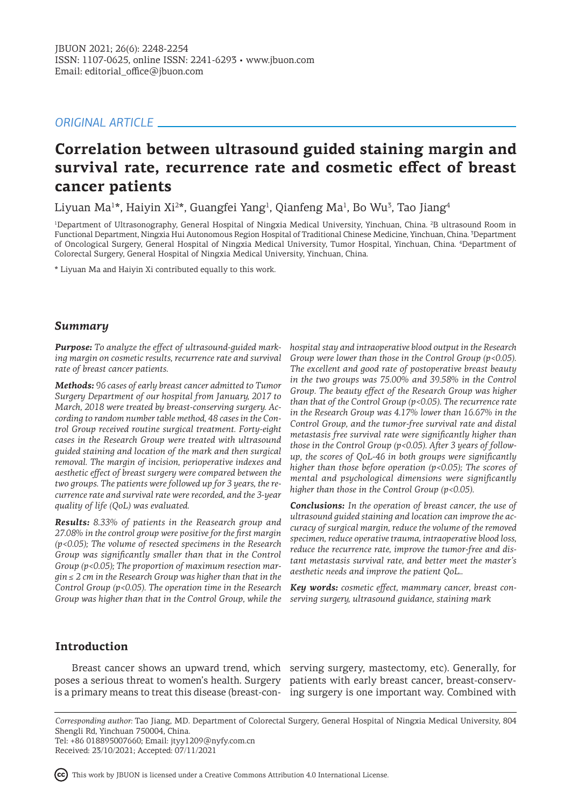# *ORIGINAL ARTICLE*

# **Correlation between ultrasound guided staining margin and survival rate, recurrence rate and cosmetic effect of breast cancer patients**

Liyuan Ma<sup>1</sup>\*, Haiyin Xi<sup>2</sup>\*, Guangfei Yang<sup>1</sup>, Qianfeng Ma<sup>1</sup>, Bo Wu<sup>3</sup>, Tao Jiang<sup>4</sup>

1 Department of Ultrasonography, General Hospital of Ningxia Medical University, Yinchuan, China. <sup>2</sup> B ultrasound Room in Functional Department, Ningxia Hui Autonomous Region Hospital of Traditional Chinese Medicine, Yinchuan, China. <sup>3</sup>Department of Oncological Surgery, General Hospital of Ningxia Medical University, Tumor Hospital, Yinchuan, China. <sup>4</sup> Department of Colorectal Surgery, General Hospital of Ningxia Medical University, Yinchuan, China.

\* Liyuan Ma and Haiyin Xi contributed equally to this work.

# *Summary*

*Purpose: To analyze the effect of ultrasound-guided marking margin on cosmetic results, recurrence rate and survival rate of breast cancer patients.*

*Methods: 96 cases of early breast cancer admitted to Tumor Surgery Department of our hospital from January, 2017 to March, 2018 were treated by breast-conserving surgery. According to random number table method, 48 cases in the Control Group received routine surgical treatment. Forty-eight cases in the Research Group were treated with ultrasound guided staining and location of the mark and then surgical removal. The margin of incision, perioperative indexes and aesthetic effect of breast surgery were compared between the two groups. The patients were followed up for 3 years, the recurrence rate and survival rate were recorded, and the 3-year quality of life (QoL) was evaluated.* 

*Results: 8.33% of patients in the Reasearch group and 27.08% in the control group were positive for the first margin (p<0.05); The volume of resected specimens in the Research Group was significantly smaller than that in the Control Group (p<0.05); The proportion of maximum resection margin ≤ 2 cm in the Research Group was higher than that in the Control Group (p<0.05). The operation time in the Research Group was higher than that in the Control Group, while the* 

*hospital stay and intraoperative blood output in the Research Group were lower than those in the Control Group (p<0.05). The excellent and good rate of postoperative breast beauty in the two groups was 75.00% and 39.58% in the Control Group. The beauty effect of the Research Group was higher than that of the Control Group (p<0.05). The recurrence rate in the Research Group was 4.17% lower than 16.67% in the Control Group, and the tumor-free survival rate and distal metastasis free survival rate were significantly higher than those in the Control Group (p<0.05). After 3 years of followup, the scores of QoL-46 in both groups were significantly higher than those before operation (p<0.05); The scores of mental and psychological dimensions were significantly higher than those in the Control Group (p<0.05).* 

*Conclusions: In the operation of breast cancer, the use of ultrasound guided staining and location can improve the accuracy of surgical margin, reduce the volume of the removed specimen, reduce operative trauma, intraoperative blood loss, reduce the recurrence rate, improve the tumor-free and distant metastasis survival rate, and better meet the master's aesthetic needs and improve the patient QoL..*

*Key words: cosmetic effect, mammary cancer, breast conserving surgery, ultrasound guidance, staining mark*

# **Introduction**

poses a serious threat to women's health. Surgery patients with early breast cancer, breast-conserv-

Breast cancer shows an upward trend, which serving surgery, mastectomy, etc). Generally, for is a primary means to treat this disease (breast-con-ing surgery is one important way. Combined with

*Corresponding author:* Tao Jiang, MD. Department of Colorectal Surgery, General Hospital of Ningxia Medical University, 804 Shengli Rd, Yinchuan 750004, China. Tel: +86 018895007660; Email: jtyy1209@nyfy.com.cn

Received: 23/10/2021; Accepted: 07/11/2021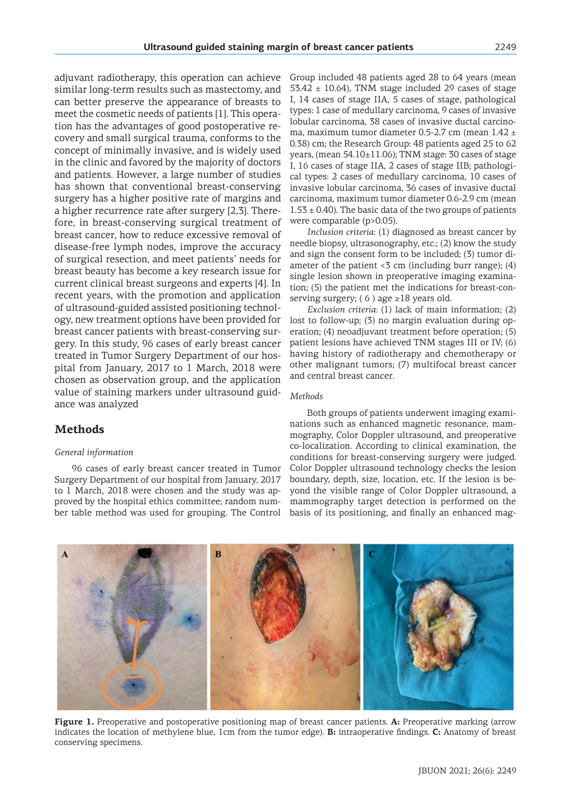adjuvant radiotherapy, this operation can achieve similar long-term results such as mastectomy, and can better preserve the appearance of breasts to meet the cosmetic needs of patients [1]. This opera-

tion has the advantages of good postoperative recovery and small surgical trauma, conforms to the concept of minimally invasive, and is widely used in the clinic and favored by the majority of doctors and patients. However, a large number of studies has shown that conventional breast-conserving surgery has a higher positive rate of margins and a higher recurrence rate after surgery [2,3]. Therefore, in breast-conserving surgical treatment of breast cancer, how to reduce excessive removal of disease-free lymph nodes, improve the accuracy of surgical resection, and meet patients' needs for breast beauty has become a key research issue for current clinical breast surgeons and experts [4]. In recent years, with the promotion and application of ultrasound-guided assisted positioning technology, new treatment options have been provided for breast cancer patients with breast-conserving surgery. In this study, 96 cases of early breast cancer treated in Tumor Surgery Department of our hospital from January, 2017 to 1 March, 2018 were chosen as observation group, and the application value of staining markers under ultrasound guidance was analyzed

# **Methods**

### *General information*

96 cases of early breast cancer treated in Tumor Surgery Department of our hospital from January, 2017 to 1 March, 2018 were chosen and the study was approved by the hospital ethics committee; random number table method was used for grouping. The Control

Group included 48 patients aged 28 to 64 years (mean  $53.42 \pm 10.64$ ), TNM stage included 29 cases of stage I, 14 cases of stage IIA, 5 cases of stage, pathological types: 1 case of medullary carcinoma, 9 cases of invasive lobular carcinoma, 38 cases of invasive ductal carcinoma, maximum tumor diameter 0.5-2.7 cm (mean 1.42 ± 0.38) cm; the Research Group: 48 patients aged 25 to 62 years, (mean 54.10±11.06); TNM stage: 30 cases of stage I, 16 cases of stage IIA, 2 cases of stage IIB; pathological types: 2 cases of medullary carcinoma, 10 cases of invasive lobular carcinoma, 36 cases of invasive ductal carcinoma, maximum tumor diameter 0.6-2.9 cm (mean  $1.53 \pm 0.40$ ). The basic data of the two groups of patients were comparable (p>0.05).

*Inclusion criteria:* (1) diagnosed as breast cancer by needle biopsy, ultrasonography, etc.; (2) know the study and sign the consent form to be included; (3) tumor diameter of the patient  $\leq$  cm (including burr range); (4) single lesion shown in preoperative imaging examination; (5) the patient met the indications for breast-conserving surgery; (6) age  $\geq$ 18 years old.

*Exclusion criteria:* (1) lack of main information; (2) lost to follow-up; (3) no margin evaluation during operation; (4) neoadjuvant treatment before operation; (5) patient lesions have achieved TNM stages III or IV; (6) having history of radiotherapy and chemotherapy or other malignant tumors; (7) multifocal breast cancer and central breast cancer.

#### *Methods*

Both groups of patients underwent imaging examinations such as enhanced magnetic resonance, mammography, Color Doppler ultrasound, and preoperative co-localization. According to clinical examination, the conditions for breast-conserving surgery were judged. Color Doppler ultrasound technology checks the lesion boundary, depth, size, location, etc. If the lesion is beyond the visible range of Color Doppler ultrasound, a mammography target detection is performed on the basis of its positioning, and finally an enhanced mag-



**Figure 1.** Preoperative and postoperative positioning map of breast cancer patients. **A:** Preoperative marking (arrow indicates the location of methylene blue, 1cm from the tumor edge). **B:** intraoperative findings. **C:** Anatomy of breast conserving specimens.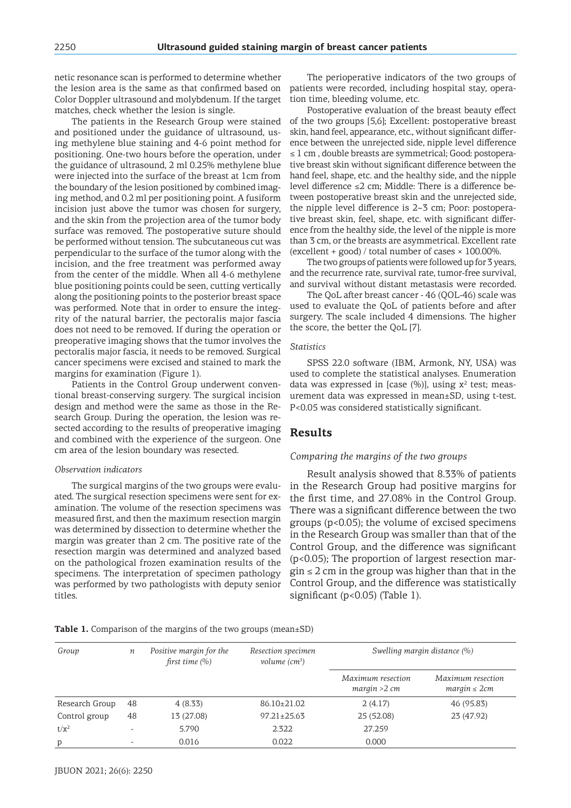netic resonance scan is performed to determine whether Color Doppler ultrasound and molybdenum. If the target matches, check whether the lesion is single.

The patients in the Research Group were stained and positioned under the guidance of ultrasound, using methylene blue staining and 4-6 point method for positioning. One-two hours before the operation, under the guidance of ultrasound, 2 ml 0.25% methylene blue were injected into the surface of the breast at 1cm from the boundary of the lesion positioned by combined imaging method, and 0.2 ml per positioning point. A fusiform incision just above the tumor was chosen for surgery, and the skin from the projection area of the tumor body surface was removed. The postoperative suture should be performed without tension. The subcutaneous cut was perpendicular to the surface of the tumor along with the incision, and the free treatment was performed away from the center of the middle. When all 4-6 methylene blue positioning points could be seen, cutting vertically along the positioning points to the posterior breast space was performed. Note that in order to ensure the integrity of the natural barrier, the pectoralis major fascia does not need to be removed. If during the operation or preoperative imaging shows that the tumor involves the pectoralis major fascia, it needs to be removed. Surgical cancer specimens were excised and stained to mark the margins for examination (Figure 1).

Patients in the Control Group underwent conventional breast-conserving surgery. The surgical incision design and method were the same as those in the Research Group. During the operation, the lesion was resected according to the results of preoperative imaging and combined with the experience of the surgeon. One cm area of the lesion boundary was resected.

#### *Observation indicators*

The surgical margins of the two groups were evaluated. The surgical resection specimens were sent for examination. The volume of the resection specimens was measured first, and then the maximum resection margin was determined by dissection to determine whether the margin was greater than 2 cm. The positive rate of the resection margin was determined and analyzed based on the pathological frozen examination results of the specimens. The interpretation of specimen pathology was performed by two pathologists with deputy senior titles.

the lesion area is the same as that confirmed based on patients were recorded, including hospital stay, opera-The perioperative indicators of the two groups of tion time, bleeding volume, etc.

> Postoperative evaluation of the breast beauty effect of the two groups [5,6]; Excellent: postoperative breast skin, hand feel, appearance, etc., without significant difference between the unrejected side, nipple level difference ≤ 1 cm , double breasts are symmetrical; Good: postoperative breast skin without significant difference between the hand feel, shape, etc. and the healthy side, and the nipple level difference ≤2 cm; Middle: There is a difference between postoperative breast skin and the unrejected side, the nipple level difference is 2~3 cm; Poor: postoperative breast skin, feel, shape, etc. with significant difference from the healthy side, the level of the nipple is more than 3 cm, or the breasts are asymmetrical. Excellent rate (excellent + good) / total number of cases  $\times$  100.00%.

> The two groups of patients were followed up for 3 years, and the recurrence rate, survival rate, tumor-free survival, and survival without distant metastasis were recorded.

> The QoL after breast cancer - 46 (QOL-46) scale was used to evaluate the QoL of patients before and after surgery. The scale included 4 dimensions. The higher the score, the better the QoL [7].

#### *Statistics*

SPSS 22.0 software (IBM, Armonk, NY, USA) was used to complete the statistical analyses. Enumeration data was expressed in [case  $(\%)$ ], using  $x^2$  test; measurement data was expressed in mean±SD, using t-test. P<0.05 was considered statistically significant.

### **Results**

#### *Comparing the margins of the two groups*

Result analysis showed that 8.33% of patients in the Research Group had positive margins for the first time, and 27.08% in the Control Group. There was a significant difference between the two groups (p<0.05); the volume of excised specimens in the Research Group was smaller than that of the Control Group, and the difference was significant (p<0.05); The proportion of largest resection mar- $\sin \leq 2$  cm in the group was higher than that in the Control Group, and the difference was statistically significant (p<0.05) (Table 1).

**Table 1.** Comparison of the margins of the two groups (mean±SD)

| Group          | п                        | Positive margin for the<br>first time $(\% )$ | Resection specimen<br>volume $(cm^3)$ | Swelling margin distance (%)       |                                        |
|----------------|--------------------------|-----------------------------------------------|---------------------------------------|------------------------------------|----------------------------------------|
|                |                          |                                               |                                       | Maximum resection<br>margin > 2 cm | Maximum resection<br>$margin \leq 2cm$ |
| Research Group | 48                       | 4(8.33)                                       | 86.10±21.02                           | 2(4.17)                            | 46 (95.83)                             |
| Control group  | 48                       | 13 (27.08)                                    | $97.21 \pm 25.63$                     | 25 (52.08)                         | 23 (47.92)                             |
| $t/x^2$        | $\overline{\phantom{0}}$ | 5.790                                         | 2.322                                 | 27.259                             |                                        |
| p              |                          | 0.016                                         | 0.022                                 | 0.000                              |                                        |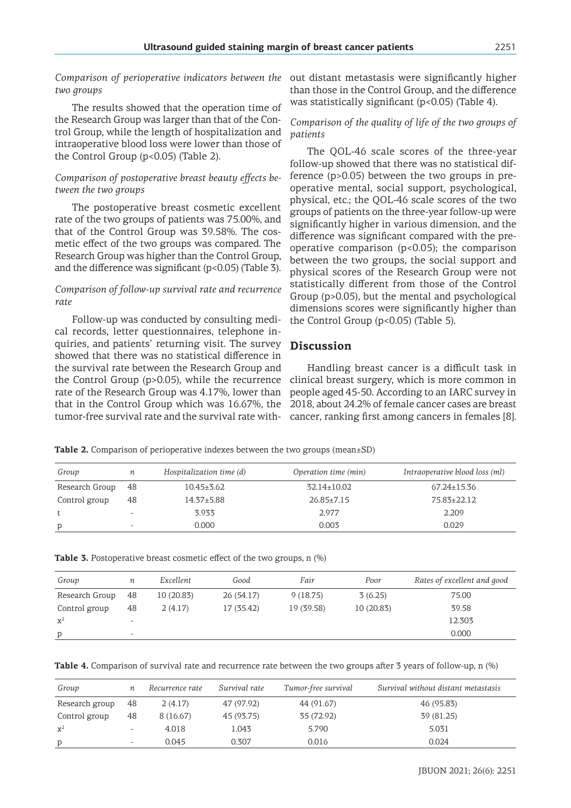*Comparison of perioperative indicators between the two groups*

The results showed that the operation time of the Research Group was larger than that of the Control Group, while the length of hospitalization and intraoperative blood loss were lower than those of the Control Group  $(p<0.05)$  (Table 2).

# *Comparison of postoperative breast beauty effects between the two groups*

The postoperative breast cosmetic excellent rate of the two groups of patients was 75.00%, and that of the Control Group was 39.58%. The cosmetic effect of the two groups was compared. The Research Group was higher than the Control Group, and the difference was significant  $(p<0.05)$  (Table 3).

### *Comparison of follow-up survival rate and recurrence rate*

Follow-up was conducted by consulting medical records, letter questionnaires, telephone inquiries, and patients' returning visit. The survey showed that there was no statistical difference in the survival rate between the Research Group and the Control Group (p>0.05), while the recurrence rate of the Research Group was 4.17%, lower than that in the Control Group which was 16.67%, the tumor-free survival rate and the survival rate with-

out distant metastasis were significantly higher than those in the Control Group, and the difference was statistically significant (p<0.05) (Table 4).

### *Comparison of the quality of life of the two groups of patients*

The QOL-46 scale scores of the three-year follow-up showed that there was no statistical difference (p>0.05) between the two groups in preoperative mental, social support, psychological, physical, etc.; the QOL-46 scale scores of the two groups of patients on the three-year follow-up were significantly higher in various dimension, and the difference was significant compared with the preoperative comparison (p<0.05); the comparison between the two groups, the social support and physical scores of the Research Group were not statistically different from those of the Control Group (p>0.05), but the mental and psychological dimensions scores were significantly higher than the Control Group  $(p<0.05)$  (Table 5).

# **Discussion**

Handling breast cancer is a difficult task in clinical breast surgery, which is more common in people aged 45-50. According to an IARC survey in 2018, about 24.2% of female cancer cases are breast cancer, ranking first among cancers in females [8].

**Table 2.** Comparison of perioperative indexes between the two groups (mean±SD)

| Group          | п                        | Hospitalization time (d) | Operation time (min) | Intraoperative blood loss (ml) |
|----------------|--------------------------|--------------------------|----------------------|--------------------------------|
| Research Group | 48                       | $10.45 \pm 3.62$         | $32.14 \pm 10.02$    | $67.24 \pm 15.36$              |
| Control group  | 48                       | $14.37 + 5.88$           | $26.85 \pm 7.15$     | 75.83+22.12                    |
|                | $\overline{\phantom{0}}$ | 3.933                    | 2.977                | 2.209                          |
| p              | $\overline{\phantom{0}}$ | 0.000                    | 0.003                | 0.029                          |

|  |  | <b>Table 3.</b> Postoperative breast cosmetic effect of the two groups, n (%) |  |  |  |
|--|--|-------------------------------------------------------------------------------|--|--|--|
|--|--|-------------------------------------------------------------------------------|--|--|--|

| Group          |                              | Excellent  | Good       | Fair       | Poor      | Rates of excellent and good |
|----------------|------------------------------|------------|------------|------------|-----------|-----------------------------|
|                | п                            |            |            |            |           |                             |
| Research Group | 48                           | 10 (20.83) | 26 (54.17) | 9(18.75)   | 3(6.25)   | 75.00                       |
| Control group  | 48                           | 2(4.17)    | 17 (35.42) | 19 (39.58) | 10(20.83) | 39.58                       |
| $x^2$          | $\qquad \qquad \blacksquare$ |            |            |            |           | 12.303                      |
| p              | $\overline{\phantom{0}}$     |            |            |            |           | 0.000                       |
|                |                              |            |            |            |           |                             |

**Table 4.** Comparison of survival rate and recurrence rate between the two groups after 3 years of follow-up, n (%)

| Group          |                          | Recurrence rate | Survival rate | Tumor-free survival | Survival without distant metastasis |
|----------------|--------------------------|-----------------|---------------|---------------------|-------------------------------------|
| Research group | 48                       | 2(4.17)         | 47 (97.92)    | 44 (91.67)          | 46 (95.83)                          |
| Control group  | 48                       | 8 (16.67)       | 45 (93.75)    | 35 (72.92)          | 39 (81.25)                          |
| $\mathbf{x}^2$ | $\overline{\phantom{a}}$ | 4.018           | 1.043         | 5.790               | 5.031                               |
| p              | $\overline{\phantom{a}}$ | 0.045           | 0.307         | 0.016               | 0.024                               |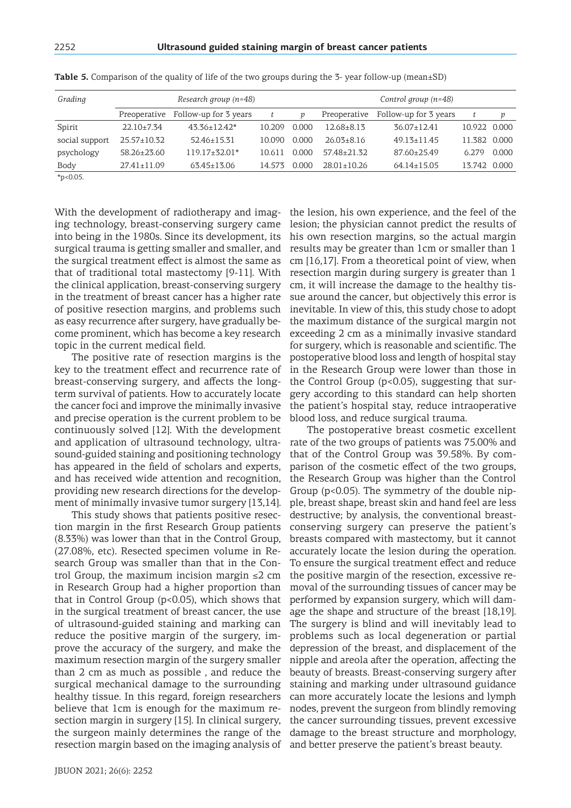| Grading        |                   | Research group $(n=48)$            | Control group $(n=48)$ |       |                   |                       |              |       |
|----------------|-------------------|------------------------------------|------------------------|-------|-------------------|-----------------------|--------------|-------|
|                |                   | Preoperative Follow-up for 3 years |                        |       | Preoperative      | Follow-up for 3 years | t            | р     |
| Spirit         | $22.10 \pm 7.34$  | $43.36 \pm 12.42^*$                | 10.209                 | 0.000 | $12.68 \pm 8.13$  | $36.07 \pm 12.41$     | 10.922 0.000 |       |
| social support | $25.57 \pm 10.32$ | $52.46 \pm 15.31$                  | 10.090                 | 0.000 | $26.03 \pm 8.16$  | $49.13 \pm 11.45$     | 11.382 0.000 |       |
| psychology     | $58.26 + 23.60$   | $119.17\pm32.01*$                  | 10.611                 | 0.000 | $57.48 \pm 21.32$ | 87.60±25.49           | 6.279        | 0.000 |
| Body           | $27.41 \pm 11.09$ | $63.45 \pm 13.06$                  | 14.573                 | 0.000 | $28.01 \pm 10.26$ | $64.14 \pm 15.05$     | 13.742 0.000 |       |
| $*_{p<0.05}$   |                   |                                    |                        |       |                   |                       |              |       |

**Table 5.** Comparison of the quality of life of the two groups during the 3- year follow-up (mean±SD)

With the development of radiotherapy and imaging technology, breast-conserving surgery came into being in the 1980s. Since its development, its surgical trauma is getting smaller and smaller, and the surgical treatment effect is almost the same as that of traditional total mastectomy [9-11]. With the clinical application, breast-conserving surgery in the treatment of breast cancer has a higher rate of positive resection margins, and problems such as easy recurrence after surgery, have gradually become prominent, which has become a key research topic in the current medical field.

The positive rate of resection margins is the key to the treatment effect and recurrence rate of breast-conserving surgery, and affects the longterm survival of patients. How to accurately locate the cancer foci and improve the minimally invasive and precise operation is the current problem to be continuously solved [12]. With the development and application of ultrasound technology, ultrasound-guided staining and positioning technology has appeared in the field of scholars and experts, and has received wide attention and recognition, providing new research directions for the development of minimally invasive tumor surgery [13,14].

This study shows that patients positive resection margin in the first Research Group patients (8.33%) was lower than that in the Control Group, (27.08%, etc). Resected specimen volume in Research Group was smaller than that in the Control Group, the maximum incision margin  $\leq 2$  cm in Research Group had a higher proportion than that in Control Group  $(p<0.05)$ , which shows that in the surgical treatment of breast cancer, the use of ultrasound-guided staining and marking can reduce the positive margin of the surgery, improve the accuracy of the surgery, and make the maximum resection margin of the surgery smaller than 2 cm as much as possible , and reduce the surgical mechanical damage to the surrounding healthy tissue. In this regard, foreign researchers believe that 1cm is enough for the maximum resection margin in surgery [15]. In clinical surgery, the surgeon mainly determines the range of the resection margin based on the imaging analysis of and better preserve the patient's breast beauty.

the lesion, his own experience, and the feel of the lesion; the physician cannot predict the results of his own resection margins, so the actual margin results may be greater than 1cm or smaller than 1 cm [16,17]. From a theoretical point of view, when resection margin during surgery is greater than 1 cm, it will increase the damage to the healthy tissue around the cancer, but objectively this error is inevitable. In view of this, this study chose to adopt the maximum distance of the surgical margin not exceeding 2 cm as a minimally invasive standard for surgery, which is reasonable and scientific. The postoperative blood loss and length of hospital stay in the Research Group were lower than those in the Control Group (p<0.05), suggesting that surgery according to this standard can help shorten the patient's hospital stay, reduce intraoperative blood loss, and reduce surgical trauma.

The postoperative breast cosmetic excellent rate of the two groups of patients was 75.00% and that of the Control Group was 39.58%. By comparison of the cosmetic effect of the two groups, the Research Group was higher than the Control Group (p<0.05). The symmetry of the double nipple, breast shape, breast skin and hand feel are less destructive; by analysis, the conventional breastconserving surgery can preserve the patient's breasts compared with mastectomy, but it cannot accurately locate the lesion during the operation. To ensure the surgical treatment effect and reduce the positive margin of the resection, excessive removal of the surrounding tissues of cancer may be performed by expansion surgery, which will damage the shape and structure of the breast [18,19]. The surgery is blind and will inevitably lead to problems such as local degeneration or partial depression of the breast, and displacement of the nipple and areola after the operation, affecting the beauty of breasts. Breast-conserving surgery after staining and marking under ultrasound guidance can more accurately locate the lesions and lymph nodes, prevent the surgeon from blindly removing the cancer surrounding tissues, prevent excessive damage to the breast structure and morphology,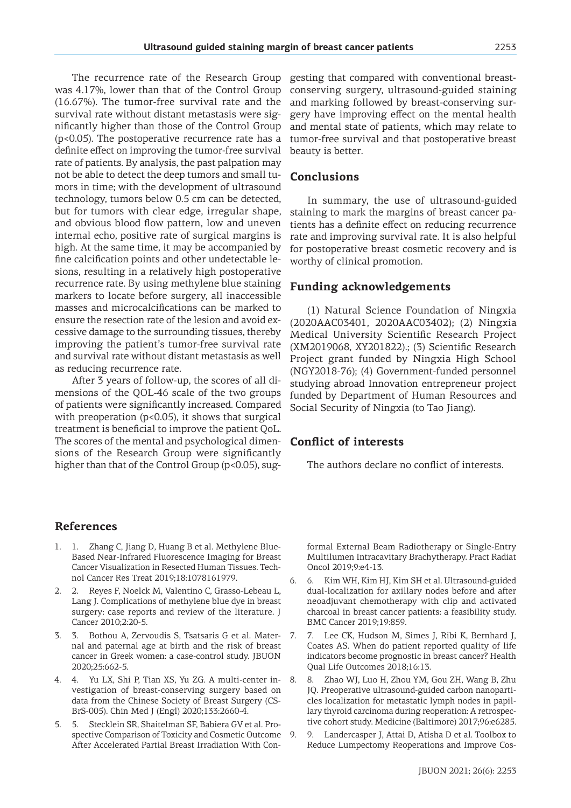The recurrence rate of the Research Group was 4.17%, lower than that of the Control Group (16.67%). The tumor-free survival rate and the survival rate without distant metastasis were significantly higher than those of the Control Group (p<0.05). The postoperative recurrence rate has a definite effect on improving the tumor-free survival rate of patients. By analysis, the past palpation may not be able to detect the deep tumors and small tumors in time; with the development of ultrasound technology, tumors below 0.5 cm can be detected, but for tumors with clear edge, irregular shape, and obvious blood flow pattern, low and uneven internal echo, positive rate of surgical margins is high. At the same time, it may be accompanied by fine calcification points and other undetectable lesions, resulting in a relatively high postoperative recurrence rate. By using methylene blue staining markers to locate before surgery, all inaccessible masses and microcalcifications can be marked to ensure the resection rate of the lesion and avoid excessive damage to the surrounding tissues, thereby improving the patient's tumor-free survival rate and survival rate without distant metastasis as well as reducing recurrence rate.

After 3 years of follow-up, the scores of all dimensions of the QOL-46 scale of the two groups of patients were significantly increased. Compared with preoperation (p<0.05), it shows that surgical treatment is beneficial to improve the patient QoL. The scores of the mental and psychological dimensions of the Research Group were significantly higher than that of the Control Group (p<0.05), suggesting that compared with conventional breastconserving surgery, ultrasound-guided staining and marking followed by breast-conserving surgery have improving effect on the mental health and mental state of patients, which may relate to tumor-free survival and that postoperative breast beauty is better.

# **Conclusions**

In summary, the use of ultrasound-guided staining to mark the margins of breast cancer patients has a definite effect on reducing recurrence rate and improving survival rate. It is also helpful for postoperative breast cosmetic recovery and is worthy of clinical promotion.

### **Funding acknowledgements**

(1) Natural Science Foundation of Ningxia (2020AAC03401, 2020AAC03402); (2) Ningxia Medical University Scientific Research Project (XM2019068, XY201822).; (3) Scientific Research Project grant funded by Ningxia High School (NGY2018-76); (4) Government-funded personnel studying abroad Innovation entrepreneur project funded by Department of Human Resources and Social Security of Ningxia (to Tao Jiang).

### **Conflict of interests**

The authors declare no conflict of interests.

### **References**

- 1. 1. Zhang C, Jiang D, Huang B et al. Methylene Blue-Based Near-Infrared Fluorescence Imaging for Breast Cancer Visualization in Resected Human Tissues. Technol Cancer Res Treat 2019;18:1078161979.
- 2. 2. Reyes F, Noelck M, Valentino C, Grasso-Lebeau L, Lang J. Complications of methylene blue dye in breast surgery: case reports and review of the literature. J Cancer 2010;2:20-5.
- 3. 3. Bothou A, Zervoudis S, Tsatsaris G et al. Maternal and paternal age at birth and the risk of breast cancer in Greek women: a case-control study. JBUON 2020;25:662-5.
- 4. 4. Yu LX, Shi P, Tian XS, Yu ZG. A multi-center investigation of breast-conserving surgery based on data from the Chinese Society of Breast Surgery (CS-BrS-005). Chin Med J (Engl) 2020;133:2660-4.
- 5. 5. Stecklein SR, Shaitelman SF, Babiera GV et al. Prospective Comparison of Toxicity and Cosmetic Outcome After Accelerated Partial Breast Irradiation With Con-

formal External Beam Radiotherapy or Single-Entry Multilumen Intracavitary Brachytherapy. Pract Radiat Oncol 2019;9:e4-13.

- 6. 6. Kim WH, Kim HJ, Kim SH et al. Ultrasound-guided dual-localization for axillary nodes before and after neoadjuvant chemotherapy with clip and activated charcoal in breast cancer patients: a feasibility study. BMC Cancer 2019;19:859.
- 7. 7. Lee CK, Hudson M, Simes J, Ribi K, Bernhard J, Coates AS. When do patient reported quality of life indicators become prognostic in breast cancer? Health Qual Life Outcomes 2018;16:13.
- 8. 8. Zhao WJ, Luo H, Zhou YM, Gou ZH, Wang B, Zhu JQ. Preoperative ultrasound-guided carbon nanoparticles localization for metastatic lymph nodes in papillary thyroid carcinoma during reoperation: A retrospective cohort study. Medicine (Baltimore) 2017;96:e6285.
- 9. 9. Landercasper J, Attai D, Atisha D et al. Toolbox to Reduce Lumpectomy Reoperations and Improve Cos-